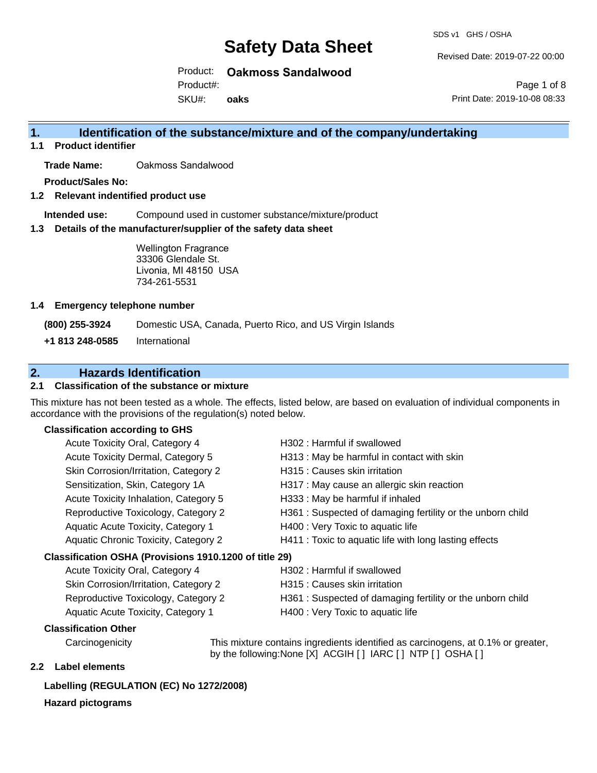Revised Date: 2019-07-22 00:00

Print Date: 2019-10-08 08:33

Page 1 of 8

Product: **Oakmoss Sandalwood**

Product#:

SKU#: **oaks**

# **1. Identification of the substance/mixture and of the company/undertaking**

**1.1 Product identifier**

**Trade Name:** Oakmoss Sandalwood

**Product/Sales No:**

**1.2 Relevant indentified product use**

**Intended use:** Compound used in customer substance/mixture/product

**1.3 Details of the manufacturer/supplier of the safety data sheet**

Wellington Fragrance 33306 Glendale St. Livonia, MI 48150 USA 734-261-5531

#### **1.4 Emergency telephone number**

**(800) 255-3924** Domestic USA, Canada, Puerto Rico, and US Virgin Islands

**+1 813 248-0585** International

## **2. Hazards Identification**

## **2.1 Classification of the substance or mixture**

This mixture has not been tested as a whole. The effects, listed below, are based on evaluation of individual components in accordance with the provisions of the regulation(s) noted below.

## **Classification according to GHS**

| <b>Acute Toxicity Oral, Category 4</b>                 | H302 : Harmful if swallowed                               |
|--------------------------------------------------------|-----------------------------------------------------------|
| Acute Toxicity Dermal, Category 5                      | H313 : May be harmful in contact with skin                |
| Skin Corrosion/Irritation, Category 2                  | H315 : Causes skin irritation                             |
| Sensitization, Skin, Category 1A                       | H317 : May cause an allergic skin reaction                |
| Acute Toxicity Inhalation, Category 5                  | H333: May be harmful if inhaled                           |
| Reproductive Toxicology, Category 2                    | H361: Suspected of damaging fertility or the unborn child |
| Aquatic Acute Toxicity, Category 1                     | H400 : Very Toxic to aquatic life                         |
| <b>Aquatic Chronic Toxicity, Category 2</b>            | H411 : Toxic to aquatic life with long lasting effects    |
| Classification OSHA (Provisions 1910.1200 of title 29) |                                                           |
| Acute Toxicity Oral, Category 4                        | H302 : Harmful if swallowed                               |
| Skin Corrosion/Irritation, Category 2                  | H315 : Causes skin irritation                             |
| Reproductive Toxicology, Category 2                    | H361: Suspected of damaging fertility or the unborn child |
| Aquatic Acute Toxicity, Category 1                     | H400 : Very Toxic to aquatic life                         |

### **Classification Other**

Carcinogenicity This mixture contains ingredients identified as carcinogens, at 0.1% or greater, by the following:None [X] ACGIH [ ] IARC [ ] NTP [ ] OSHA [ ]

## **2.2 Label elements**

## **Labelling (REGULATION (EC) No 1272/2008)**

### **Hazard pictograms**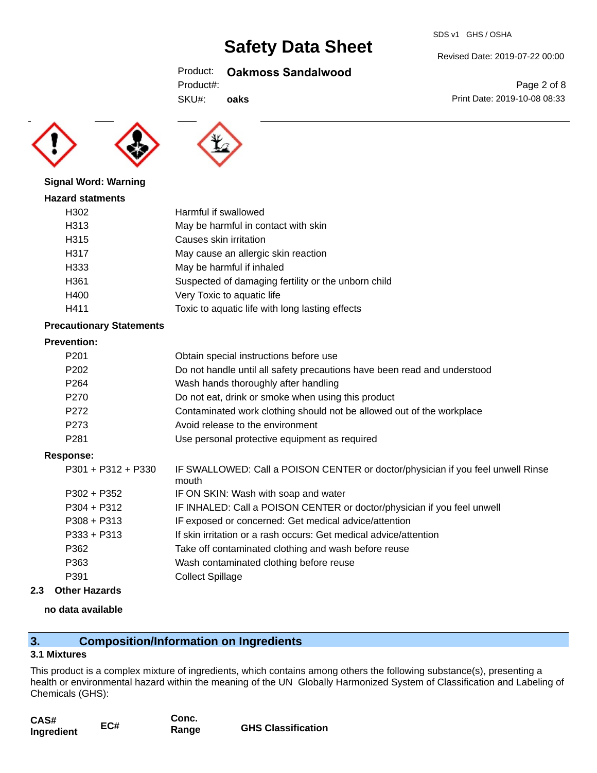#### Revised Date: 2019-07-22 00:00

Print Date: 2019-10-08 08:33

Page 2 of 8

## Product: **Oakmoss Sandalwood**

| Product#: |
|-----------|
|-----------|

SKU#: **oaks**





### **Signal Word: Warning**

| <b>Hazard statments</b> |                                                     |
|-------------------------|-----------------------------------------------------|
| H302                    | Harmful if swallowed                                |
| H313                    | May be harmful in contact with skin                 |
| H315                    | Causes skin irritation                              |
| H317                    | May cause an allergic skin reaction                 |
| H333                    | May be harmful if inhaled                           |
| H361                    | Suspected of damaging fertility or the unborn child |
| H400                    | Very Toxic to aquatic life                          |
| H411                    | Toxic to aquatic life with long lasting effects     |

### **Precautionary Statements**

#### **Prevention:**

| P <sub>201</sub> | Obtain special instructions before use                                   |
|------------------|--------------------------------------------------------------------------|
| P <sub>202</sub> | Do not handle until all safety precautions have been read and understood |
| P <sub>264</sub> | Wash hands thoroughly after handling                                     |
| P270             | Do not eat, drink or smoke when using this product                       |
| P <sub>272</sub> | Contaminated work clothing should not be allowed out of the workplace    |
| P273             | Avoid release to the environment                                         |
| P281             | Use personal protective equipment as required                            |

### **Response:**

| P301 + P312 + P330 | IF SWALLOWED: Call a POISON CENTER or doctor/physician if you feel unwell Rinse<br>mouth |
|--------------------|------------------------------------------------------------------------------------------|
| P302 + P352        | IF ON SKIN: Wash with soap and water                                                     |
| P304 + P312        | IF INHALED: Call a POISON CENTER or doctor/physician if you feel unwell                  |
| P308 + P313        | IF exposed or concerned: Get medical advice/attention                                    |
| P333 + P313        | If skin irritation or a rash occurs: Get medical advice/attention                        |
| P362               | Take off contaminated clothing and wash before reuse                                     |
| P363               | Wash contaminated clothing before reuse                                                  |
| P391               | <b>Collect Spillage</b>                                                                  |
|                    |                                                                                          |

**2.3 Other Hazards**

### **no data available**

# **3. Composition/Information on Ingredients**

## **3.1 Mixtures**

This product is a complex mixture of ingredients, which contains among others the following substance(s), presenting a health or environmental hazard within the meaning of the UN Globally Harmonized System of Classification and Labeling of Chemicals (GHS):

| CAS#       |     | Conc. |                           |
|------------|-----|-------|---------------------------|
| Ingredient | EC# | Range | <b>GHS Classification</b> |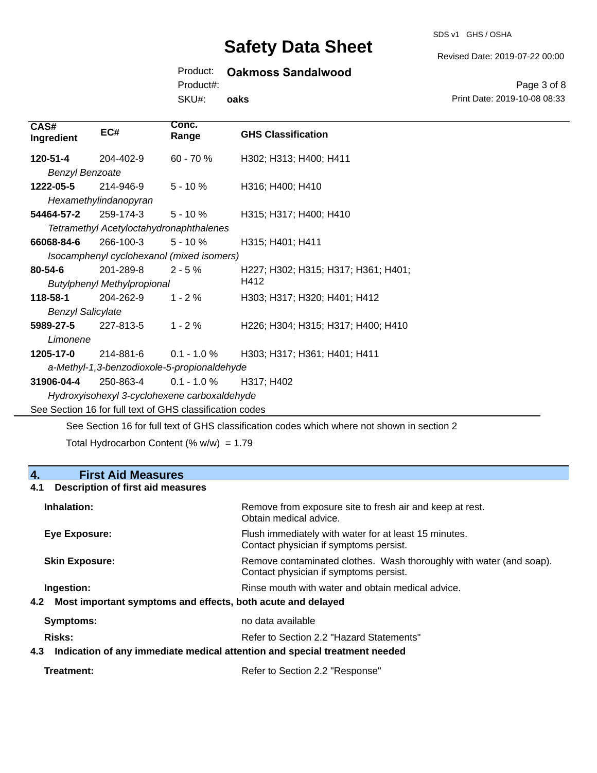SDS v1 GHS / OSHA

Revised Date: 2019-07-22 00:00

# Product: **Oakmoss Sandalwood**

Product#:

SKU#: **oaks**

Page 3 of 8 Print Date: 2019-10-08 08:33

| CAS#<br>Ingredient                                       | EC#                                       | Conc.<br>Range | <b>GHS Classification</b>           |
|----------------------------------------------------------|-------------------------------------------|----------------|-------------------------------------|
| 120-51-4                                                 | 204-402-9                                 | 60 - 70 %      | H302; H313; H400; H411              |
| <b>Benzyl Benzoate</b>                                   |                                           |                |                                     |
| 1222-05-5                                                | 214-946-9                                 | $5 - 10%$      | H316; H400; H410                    |
|                                                          | Hexamethylindanopyran                     |                |                                     |
| 54464-57-2                                               | 259-174-3                                 | $5 - 10 \%$    | H315; H317; H400; H410              |
|                                                          | Tetramethyl Acetyloctahydronaphthalenes   |                |                                     |
| 66068-84-6                                               | 266-100-3                                 | $5 - 10%$      | H315; H401; H411                    |
|                                                          | Isocamphenyl cyclohexanol (mixed isomers) |                |                                     |
| 80-54-6                                                  | 201-289-8                                 | $2 - 5%$       | H227; H302; H315; H317; H361; H401; |
| H412<br><b>Butylphenyl Methylpropional</b>               |                                           |                |                                     |
| 118-58-1                                                 | 204-262-9                                 | $1 - 2%$       | H303; H317; H320; H401; H412        |
| <b>Benzyl Salicylate</b>                                 |                                           |                |                                     |
| 5989-27-5                                                | 227-813-5                                 | $1 - 2 \%$     | H226; H304; H315; H317; H400; H410  |
| Limonene                                                 |                                           |                |                                     |
| 1205-17-0                                                | 214-881-6                                 | $0.1 - 1.0 \%$ | H303; H317; H361; H401; H411        |
| a-Methyl-1,3-benzodioxole-5-propionaldehyde              |                                           |                |                                     |
| 31906-04-4                                               | 250-863-4                                 | $0.1 - 1.0 %$  | H317; H402                          |
| Hydroxyisohexyl 3-cyclohexene carboxaldehyde             |                                           |                |                                     |
| See Section 16 for full text of GHS classification codes |                                           |                |                                     |
|                                                          |                                           |                |                                     |

See Section 16 for full text of GHS classification codes which where not shown in section 2

Total Hydrocarbon Content (%  $w/w$ ) = 1.79

# **4. First Aid Measures**

## **4.1 Description of first aid measures**

| Inhalation:                                                                                                                           | Remove from exposure site to fresh air and keep at rest.<br>Obtain medical advice.                            |
|---------------------------------------------------------------------------------------------------------------------------------------|---------------------------------------------------------------------------------------------------------------|
| <b>Eye Exposure:</b>                                                                                                                  | Flush immediately with water for at least 15 minutes.<br>Contact physician if symptoms persist.               |
| <b>Skin Exposure:</b>                                                                                                                 | Remove contaminated clothes. Wash thoroughly with water (and soap).<br>Contact physician if symptoms persist. |
| Rinse mouth with water and obtain medical advice.<br>Ingestion:<br>Most important symptoms and effects, both acute and delayed<br>4.2 |                                                                                                               |
| Symptoms:                                                                                                                             | no data available                                                                                             |
| <b>Risks:</b><br>Indication of any immediate medical attention and special treatment needed<br>4.3                                    | Refer to Section 2.2 "Hazard Statements"                                                                      |

| Treatment: | Refer to Section 2.2 "Response" |
|------------|---------------------------------|
|------------|---------------------------------|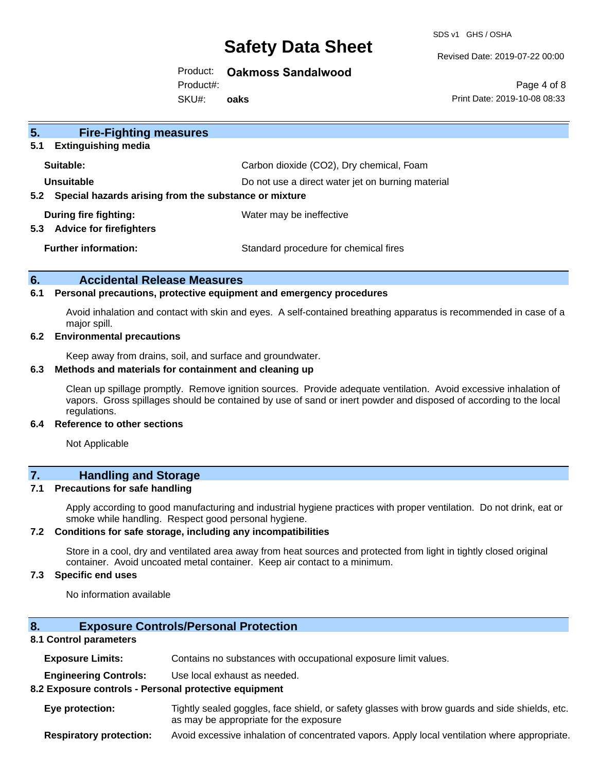SDS v1 GHS / OSHA

Revised Date: 2019-07-22 00:00

Product: **Oakmoss Sandalwood**

Product#:

SKU#: **oaks**

Page 4 of 8 Print Date: 2019-10-08 08:33

| 5 <sub>1</sub><br><b>Fire-Fighting measures</b>                |                                                   |  |
|----------------------------------------------------------------|---------------------------------------------------|--|
| <b>Extinguishing media</b><br>5.1                              |                                                   |  |
| Suitable:                                                      | Carbon dioxide (CO2), Dry chemical, Foam          |  |
| Unsuitable                                                     | Do not use a direct water jet on burning material |  |
| Special hazards arising from the substance or mixture<br>5.2   |                                                   |  |
| During fire fighting:<br><b>Advice for firefighters</b><br>5.3 | Water may be ineffective                          |  |
| <b>Further information:</b>                                    | Standard procedure for chemical fires             |  |

## **6. Accidental Release Measures**

#### **6.1 Personal precautions, protective equipment and emergency procedures**

Avoid inhalation and contact with skin and eyes. A self-contained breathing apparatus is recommended in case of a major spill.

#### **6.2 Environmental precautions**

Keep away from drains, soil, and surface and groundwater.

#### **6.3 Methods and materials for containment and cleaning up**

Clean up spillage promptly. Remove ignition sources. Provide adequate ventilation. Avoid excessive inhalation of vapors. Gross spillages should be contained by use of sand or inert powder and disposed of according to the local regulations.

#### **6.4 Reference to other sections**

Not Applicable

## **7. Handling and Storage**

#### **7.1 Precautions for safe handling**

Apply according to good manufacturing and industrial hygiene practices with proper ventilation. Do not drink, eat or smoke while handling. Respect good personal hygiene.

#### **7.2 Conditions for safe storage, including any incompatibilities**

Store in a cool, dry and ventilated area away from heat sources and protected from light in tightly closed original container. Avoid uncoated metal container. Keep air contact to a minimum.

## **7.3 Specific end uses**

No information available

### **8. Exposure Controls/Personal Protection**

#### **8.1 Control parameters**

**Exposure Limits:** Contains no substances with occupational exposure limit values.

**Engineering Controls:** Use local exhaust as needed.

#### **8.2 Exposure controls - Personal protective equipment**

**Eye protection:** Tightly sealed goggles, face shield, or safety glasses with brow guards and side shields, etc. as may be appropriate for the exposure

**Respiratory protection:** Avoid excessive inhalation of concentrated vapors. Apply local ventilation where appropriate.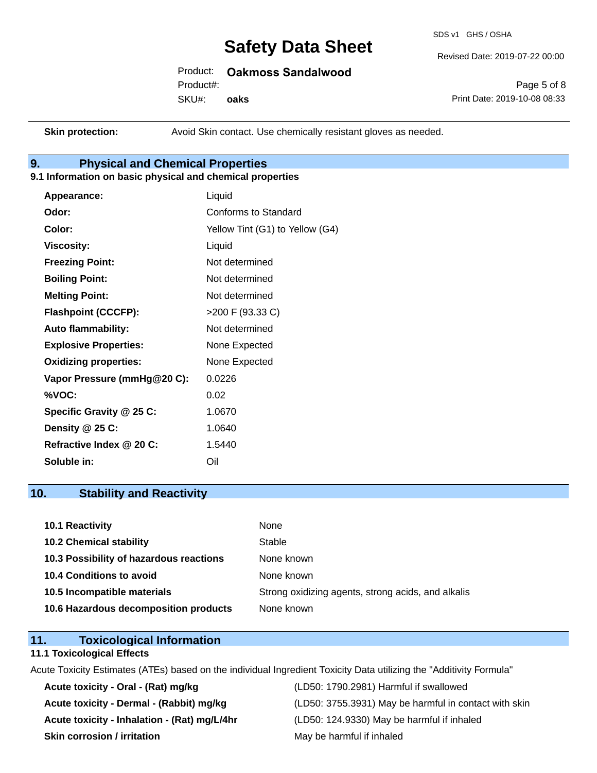SDS v1 GHS / OSHA

Revised Date: 2019-07-22 00:00

Product: **Oakmoss Sandalwood**

Product#:

SKU#: **oaks**

Page 5 of 8 Print Date: 2019-10-08 08:33

**Skin protection:** Avoid Skin contact. Use chemically resistant gloves as needed.

# **9. Physical and Chemical Properties**

## **9.1 Information on basic physical and chemical properties**

| Appearance:                  | Liquid                          |
|------------------------------|---------------------------------|
| Odor:                        | Conforms to Standard            |
| Color:                       | Yellow Tint (G1) to Yellow (G4) |
| <b>Viscosity:</b>            | Liquid                          |
| <b>Freezing Point:</b>       | Not determined                  |
| <b>Boiling Point:</b>        | Not determined                  |
| <b>Melting Point:</b>        | Not determined                  |
| <b>Flashpoint (CCCFP):</b>   | >200 F (93.33 C)                |
| <b>Auto flammability:</b>    | Not determined                  |
| <b>Explosive Properties:</b> | None Expected                   |
| <b>Oxidizing properties:</b> | None Expected                   |
| Vapor Pressure (mmHg@20 C):  | 0.0226                          |
| %VOC:                        | 0.02                            |
| Specific Gravity @ 25 C:     | 1.0670                          |
| Density @ 25 C:              | 1.0640                          |
| Refractive Index @ 20 C:     | 1.5440                          |
| Soluble in:                  | Oil                             |

## **10. Stability and Reactivity**

| 10.1 Reactivity                         | None                                               |
|-----------------------------------------|----------------------------------------------------|
| <b>10.2 Chemical stability</b>          | Stable                                             |
| 10.3 Possibility of hazardous reactions | None known                                         |
| 10.4 Conditions to avoid                | None known                                         |
| 10.5 Incompatible materials             | Strong oxidizing agents, strong acids, and alkalis |
| 10.6 Hazardous decomposition products   | None known                                         |

# **11. Toxicological Information**

#### **11.1 Toxicological Effects**

Acute Toxicity Estimates (ATEs) based on the individual Ingredient Toxicity Data utilizing the "Additivity Formula"

**Acute toxicity - Oral - (Rat) mg/kg** (LD50: 1790.2981) Harmful if swallowed **Acute toxicity - Inhalation - (Rat) mg/L/4hr** (LD50: 124.9330) May be harmful if inhaled **Skin corrosion / irritation** May be harmful if inhaled

Acute toxicity - Dermal - (Rabbit) mg/kg <br>
(LD50: 3755.3931) May be harmful in contact with skin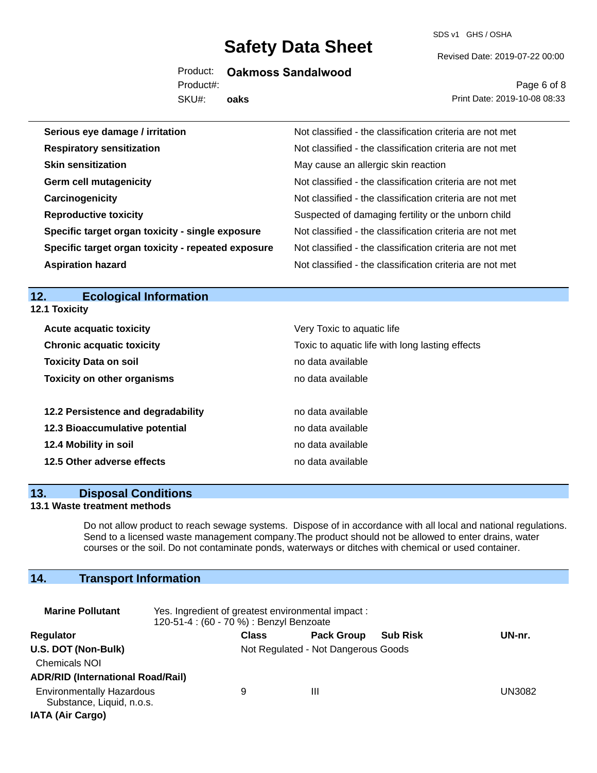SDS v1 GHS / OSHA

Revised Date: 2019-07-22 00:00

Product: **Oakmoss Sandalwood**

SKU#: Product#:

**oaks**

Page 6 of 8 Print Date: 2019-10-08 08:33

| Serious eye damage / irritation                    | Not classified - the classification criteria are not met |
|----------------------------------------------------|----------------------------------------------------------|
| <b>Respiratory sensitization</b>                   | Not classified - the classification criteria are not met |
| <b>Skin sensitization</b>                          | May cause an allergic skin reaction                      |
| <b>Germ cell mutagenicity</b>                      | Not classified - the classification criteria are not met |
| Carcinogenicity                                    | Not classified - the classification criteria are not met |
| <b>Reproductive toxicity</b>                       | Suspected of damaging fertility or the unborn child      |
| Specific target organ toxicity - single exposure   | Not classified - the classification criteria are not met |
| Specific target organ toxicity - repeated exposure | Not classified - the classification criteria are not met |
| <b>Aspiration hazard</b>                           | Not classified - the classification criteria are not met |

# **12. Ecological Information**

**12.1 Toxicity**

| <b>Acute acquatic toxicity</b>     | Very Toxic to aquatic life                      |
|------------------------------------|-------------------------------------------------|
| <b>Chronic acquatic toxicity</b>   | Toxic to aquatic life with long lasting effects |
| <b>Toxicity Data on soil</b>       | no data available                               |
| <b>Toxicity on other organisms</b> | no data available                               |
|                                    |                                                 |
| 12.2 Persistence and degradability | no data available                               |
| 12.3 Bioaccumulative potential     | no data available                               |
| 12.4 Mobility in soil              | no data available                               |
| 12.5 Other adverse effects         | no data available                               |

### **13. Disposal Conditions**

## **13.1 Waste treatment methods**

Do not allow product to reach sewage systems. Dispose of in accordance with all local and national regulations. Send to a licensed waste management company.The product should not be allowed to enter drains, water courses or the soil. Do not contaminate ponds, waterways or ditches with chemical or used container.

# **14. Transport Information**

| <b>Marine Pollutant</b>                                                                  | Yes. Ingredient of greatest environmental impact:<br>120-51-4 : (60 - 70 %) : Benzyl Benzoate |              |                                     |                 |        |  |  |
|------------------------------------------------------------------------------------------|-----------------------------------------------------------------------------------------------|--------------|-------------------------------------|-----------------|--------|--|--|
| Regulator                                                                                |                                                                                               | <b>Class</b> | <b>Pack Group</b>                   | <b>Sub Risk</b> | UN-nr. |  |  |
| U.S. DOT (Non-Bulk)<br><b>Chemicals NOI</b><br><b>ADR/RID (International Road/Rail)</b>  |                                                                                               |              | Not Regulated - Not Dangerous Goods |                 |        |  |  |
| <b>Environmentally Hazardous</b><br>Substance, Liquid, n.o.s.<br><b>IATA (Air Cargo)</b> |                                                                                               | 9            | Ш                                   |                 | UN3082 |  |  |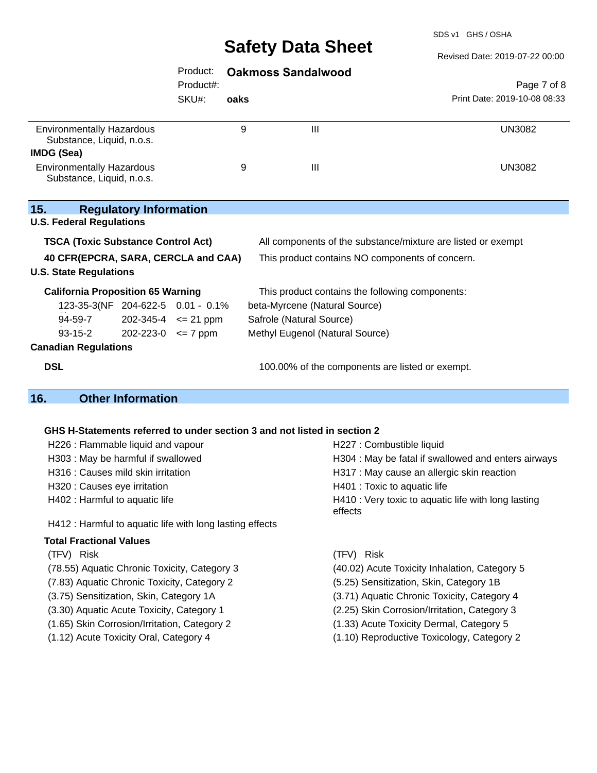SDS v1 GHS / OSHA

Revised Date: 2019-07-22 00:00

|                                                                                  |                                   | Product:  |      | <b>Oakmoss Sandalwood</b>                                                |                              |  |
|----------------------------------------------------------------------------------|-----------------------------------|-----------|------|--------------------------------------------------------------------------|------------------------------|--|
|                                                                                  |                                   | Product#: |      |                                                                          | Page 7 of 8                  |  |
|                                                                                  |                                   | SKU#:     | oaks |                                                                          | Print Date: 2019-10-08 08:33 |  |
| <b>Environmentally Hazardous</b><br>Substance, Liquid, n.o.s.                    |                                   |           | 9    | III                                                                      | <b>UN3082</b>                |  |
| IMDG (Sea)                                                                       |                                   |           |      |                                                                          |                              |  |
| <b>Environmentally Hazardous</b><br>Substance, Liquid, n.o.s.                    |                                   |           | 9    | III                                                                      | <b>UN3082</b>                |  |
| 15.<br><b>U.S. Federal Regulations</b>                                           | <b>Regulatory Information</b>     |           |      |                                                                          |                              |  |
| <b>TSCA (Toxic Substance Control Act)</b>                                        |                                   |           |      | All components of the substance/mixture are listed or exempt             |                              |  |
| 40 CFR(EPCRA, SARA, CERCLA and CAA)<br><b>U.S. State Regulations</b>             |                                   |           |      | This product contains NO components of concern.                          |                              |  |
| <b>California Proposition 65 Warning</b>                                         |                                   |           |      | This product contains the following components:                          |                              |  |
|                                                                                  | 123-35-3(NF 204-622-5 0.01 - 0.1% |           |      | beta-Myrcene (Natural Source)                                            |                              |  |
| 94-59-7                                                                          | $202 - 345 - 4 \le 21$ ppm        |           |      | Safrole (Natural Source)                                                 |                              |  |
| $93 - 15 - 2$                                                                    | $202 - 223 - 0 \leq 7$ ppm        |           |      | Methyl Eugenol (Natural Source)                                          |                              |  |
| <b>Canadian Regulations</b>                                                      |                                   |           |      |                                                                          |                              |  |
| <b>DSL</b>                                                                       |                                   |           |      | 100.00% of the components are listed or exempt.                          |                              |  |
| 16.                                                                              | <b>Other Information</b>          |           |      |                                                                          |                              |  |
|                                                                                  |                                   |           |      |                                                                          |                              |  |
|                                                                                  |                                   |           |      | GHS H-Statements referred to under section 3 and not listed in section 2 |                              |  |
| H226 : Flammable liquid and vapour                                               |                                   |           |      |                                                                          | H227 : Combustible liquid    |  |
| H303 : May be harmful if swallowed                                               |                                   |           |      | H304 : May be fatal if swallowed and enters airways                      |                              |  |
| H316 : Causes mild skin irritation<br>H317 : May cause an allergic skin reaction |                                   |           |      |                                                                          |                              |  |

H320 : Causes eye irritation **H401** : Toxic to aquatic life

H412 : Harmful to aquatic life with long lasting effects

#### **Total Fractional Values**

(TFV) Risk (TFV) Risk

- (7.83) Aquatic Chronic Toxicity, Category 2 (5.25) Sensitization, Skin, Category 1B
- 
- (3.30) Aquatic Acute Toxicity, Category 1 (2.25) Skin Corrosion/Irritation, Category 3
- (1.65) Skin Corrosion/Irritation, Category 2 (1.33) Acute Toxicity Dermal, Category 5
- 
- H402 : Harmful to aquatic life **H410** : Very toxic to aquatic life with long lasting effects
	-
- (78.55) Aquatic Chronic Toxicity, Category 3 (40.02) Acute Toxicity Inhalation, Category 5
	-
- (3.75) Sensitization, Skin, Category 1A (3.71) Aquatic Chronic Toxicity, Category 4
	-
	-
- (1.12) Acute Toxicity Oral, Category 4 (1.10) Reproductive Toxicology, Category 2